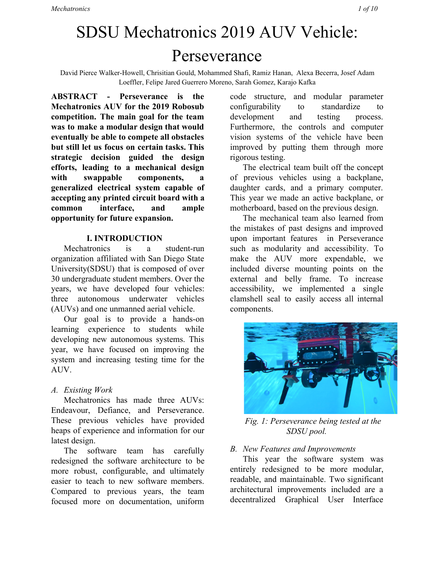# SDSU Mechatronics 2019 AUV Vehicle: Perseverance

David Pierce Walker-Howell, Chrisitian Gould, Mohammed Shafi, Ramiz Hanan, Alexa Becerra, Josef Adam Loeffler, Felipe Jared Guerrero Moreno, Sarah Gomez, Karajo Kafka

**ABSTRACT - Perseverance is the Mechatronics AUV for the 2019 Robosub competition. The main goal for the team was to make a modular design that would eventually be able to compete all obstacles but still let us focus on certain tasks. This strategic decision guided the design efforts, leading to a mechanical design with swappable components, a generalized electrical system capable of accepting any printed circuit board with a common interface, and ample opportunity for future expansion.**

#### **I. INTRODUCTION**

Mechatronics is a student-run organization affiliated with San Diego State University(SDSU) that is composed of over 30 undergraduate student members. Over the years, we have developed four vehicles: three autonomous underwater vehicles (AUVs) and one unmanned aerial vehicle.

Our goal is to provide a hands-on learning experience to students while developing new autonomous systems. This year, we have focused on improving the system and increasing testing time for the AUV.

#### *A. Existing Work*

Mechatronics has made three AUVs: Endeavour, Defiance, and Perseverance. These previous vehicles have provided heaps of experience and information for our latest design.

The software team has carefully redesigned the software architecture to be more robust, configurable, and ultimately easier to teach to new software members. Compared to previous years, the team focused more on documentation, uniform

code structure, and modular parameter configurability to standardize to development and testing process. Furthermore, the controls and computer vision systems of the vehicle have been improved by putting them through more rigorous testing.

The electrical team built off the concept of previous vehicles using a backplane, daughter cards, and a primary computer. This year we made an active backplane, or motherboard, based on the previous design.

The mechanical team also learned from the mistakes of past designs and improved upon important features in Perseverance such as modularity and accessibility. To make the AUV more expendable, we included diverse mounting points on the external and belly frame. To increase accessibility, we implemented a single clamshell seal to easily access all internal components.



*Fig. 1: Perseverance being tested at the SDSU pool.*

#### *B. New Features and Improvements*

This year the software system was entirely redesigned to be more modular, readable, and maintainable. Two significant architectural improvements included are a decentralized Graphical User Interface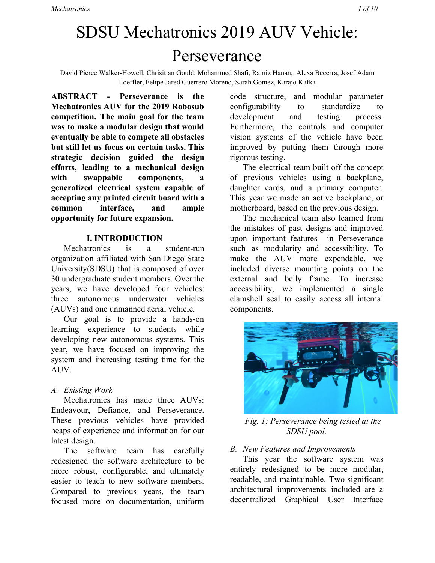(GUI) and our developed socket based communication library MechOS. In previous years, the GUI was written inline with the operating system on the vehicles and command of the vehicles during testing was performed through a Virtual Network Connection (VNC). This entailed extra processing effort for the on-board computer to perform both the autonomy of the sub and controlling the GUI. The new architecture places the GUI and control of the vehicle on the users computer, while the vehicle only runs its the necessary components for control and autonomy.

The socket based communication library MechOS provides a UDP and TCP based communication protocol that enables the individual systems to be developed in a modular way. The library includes features such as a topic based publisher/subscriber protocol, a XMLRPC based parameter server, and UDP based video streaming. MechOS also allows for inter and intra based machine communication, which allows us to run process on multiple computing devices if desired.

New electrical features for the vehicle include a new primary communication protocol, CAN bus, as well as a new secondary communication protocol, I2C.

The mechanical aspects of Perseverance are a complete overhaul of previous designs. Learning from restrictions of tubular cramped enclosures, tightly toleranced radial seals, permanent cable passthroughs and asymmetric overall layout, the new design aimed to learn from these lessons. New features of the mechanical systems include implementation of pneumatics for all actuation, plate aluminum construction with minimal machining, protective modular external frame, standardized fasteners for entire design, a single main seal, swappable IO panels for all cable pass throughs and large top viewing windows.



*Fig. 2: Final CAD of Perseverance*

#### **II. COMPETITION STRATEGY**

Based on last years inconsistency to successfully complete any of the tasks with reliability, the competition strategy this year is to focus on consistency of completing a few tasks with high confidence rather than attempting to multi-task with low confidence.

More detailed and extensive testing was performed on the navigation system to ensure it could accurately maneuver the vehicle accurately. Given the increased performance in the control, higher level design of autonomy can be developed for completing tasks without worrying about the consistency of control. There was also a greater focus on improving the computer vision system.

#### **III. VEHICLE DESIGN**

For the overall design of the AUV vehicle and its systems, the focus was on simplicity, accessibility, and modularity. We found that focusing on these aspects made the design more efficient for testing and debugging purposes.

#### *A. Mechanical Systems*

Learning from previous vehicle designs, Perseverance incorporates a clamshell lid design along with a single main O-ring seal, created by welding watejetted aluminum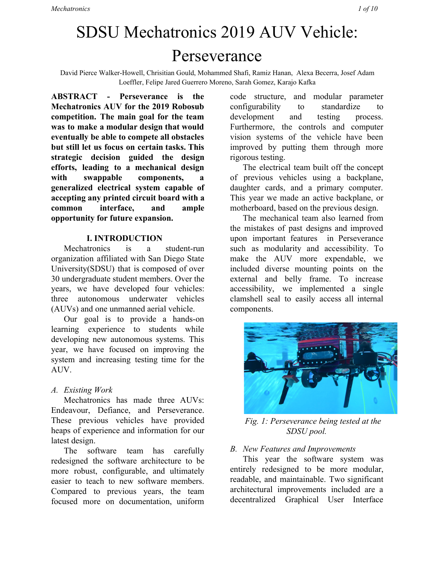panels together. This design increases the internal volume allowing a sufficient amount of space for the electrical system. The symmetrical design facilitated the buoyancy control of the AUV by keeping the center of gravity close to the center of Perseverance.

A unique design feature that the AUV includes is swappable Input-Output panels for all cable pass throughs, which make it easy to accommodate future sensors.

Another inclusion of modularity in the AUV's design is the variety of mounting points for payloads and external sensors. The main location for mounting is the external frame, which also serves as protection against impact. There is also an exterior frame at the belly of Perseverance that houses most of the pneumatic system. Both frames include mounting slots designed for our standardized fasteners.

An internal frame was redesigned this year to facilitate cable management while maintaining accessibility to internal components and maximizing space. Perseverance's large top viewing windows also make debugging easier when the AUV is undergoing underwater testing.



*Fig. 3: Perseverance's internal components.*

#### *B. Electrical Systems*

Our electrical system is made up of six custom boards designed by our

members: Weapons Control Board (WCB), Sensor Interface Board (SIB), Battery Management System (BMS), Hydras, Pneumatics Interface Board (PIB), and the Motherboard. All daughter cards connect to the Motherboard through DBUS connectors, which allow us to make new boards with different functionality and capabilities, while incorporating them into the current system seamlessly.

All of our custom boards communicate via CAN Bus. We decided to use CAN because of its ability to support a large amount of devices and messages. CAN also only requires two signal lines for communication which allows for minimal wire management. The main processor, the Tegra X2, then communicates with all the boards through CAN, simplifying our interfacing with the embedded systems.

*C. Software Systems*



*Fig. 4: Computer vision recognizing a dice for the buoy mission based on the 2018 competition.*

Our software system is developed primarily in Python because of its ease of use and it is less difficult for less experienced members to learn compared to competitive other languages like C++.

The software architecture of the system is divided into multiple separate subsystems that are highly parameterizable and easy to test. For the most part, the systems can run independently of each other.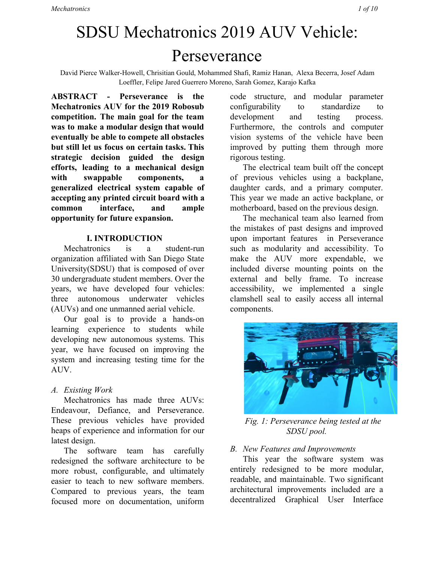These systems include the Sensor Driver, Navigation Controller, Mission Commander, Vision, and Main Controller. The Sensor Driver systems gather and process data from the DVL, AHRS, and pressure transducers to determine the position of the vehicle.

The Navigation Controller takes the position data provided by the Sensor Driver and uses a well-tuned 6 DOF control PID control system to navigate the vehicle to its desired position and orientation.

The Vision system runs the YOLOv3 Tiny object detection network to detect and localize objects underwater. Then an algorithm called Solve PNP is used to determine the distance and angular orientation of the object so the vehicle can best learn the orientation and distance necessary to reach its desired object. The vision system also live streams the video over UDP to get real time footage.

The Mission Commander is a higher level system that executes mission objectives specified in a mission file by communicating with the lower level systems. This mission file is generated with the Mission Planner widget in the GUI.



*Fig. 5: The GUI for the RoboSub competition.*

### **IV. EXPERIMENTAL RESULTS**

This year, due to technical challenges, we achieved less testing than desired. However, more rigorous testing procedures for the software systems were employed to ensure we maximize the testing time available. First, we focused on tuning and testing the PID control system to ensure the vehicles stability and ability to hold desired positions.

The Proportional-Integral-Derivative (PID) controller is a feedback control loop that determines a control parameter (such as thrust) given error between a current position and desired position. The vehicle contains six PID controllers to control each degree of freedom: roll, pitch, yaw, X (forward/backward), Y (strafe Left/Right), and depth. First, the depth controller was tuned. In tunning depth, we achieved better stability compared to previous years by applying a depth activated bias in the Proportional controller that would make the sub mimic being neutrally buoyant instead of positively buoyant. As a result, less power is consumed because the thrusters no longer switch directions at a high frequency.

After the PIDs had been tuned, we focused on collecting waypoints, developing the mission architecture, and labeling images of obstacles to begin focusing on missions.

We are currently in the process of training the computer vision system and testing waypoint navigation to perform the gate and buoy missions.

In order to test our electrical system, we have designed an "electronics test-fixture". This test-fixture allows our electrical members to program and test their custom PCBs outside of the vehicle. By having a test-fixture, we can quickly identify bugs with the embedded code or with the circuit design. In previous years, the PCBs had to be tested directly in the AUV which made it very difficult to find the sources of issues.

Additionally, we confirm watertight integrity of the AUV by performing a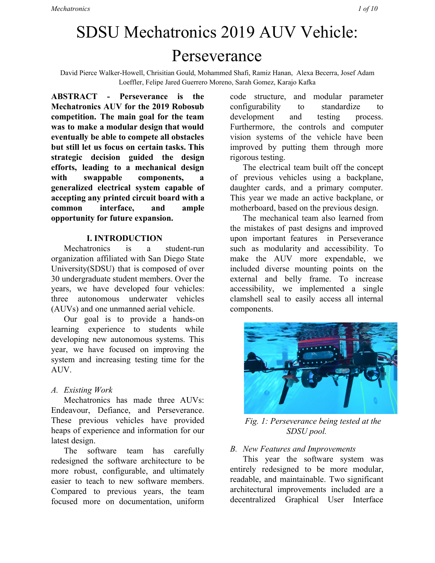vacuum d vacuum test each time seals are broken on the vehicle.

#### **IV. ACKNOWLEDGMENTS**

The Mechatronics team would like to thank the SDSU Engineering Department, Northrop Grumman, Matlab, Metal Masters, Amazon, McMaster-Carr, and Altium.

A big thank you especially to our faculty advisor Theresa Garcia, as well as Donovan Geiger and the late Dean Mehrabadi who always supported and believed in us.

#### **VI. REFERENCES**

[1] J. Redmon and A. Farhadi,  $YOLOv3$ : An Incremental *Improvement*. Washington: University of Washington, 2018.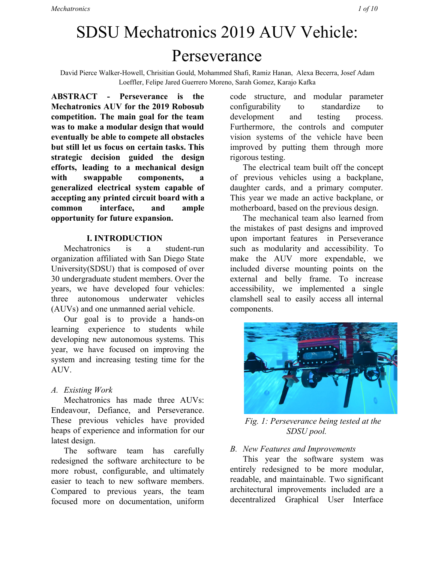| <b>Subjective Measures</b>                        |                         |                                  |                                    |  |
|---------------------------------------------------|-------------------------|----------------------------------|------------------------------------|--|
|                                                   | <b>Max Points</b>       | <b>Expected</b><br><b>Points</b> | <b>Points</b><br><b>Score</b><br>d |  |
| Utility of team website                           | 50                      | 45                               |                                    |  |
| Technical merit (from journal paper)              | 150                     | 120                              |                                    |  |
| Written style (from journal paper)                | 50                      | 40                               |                                    |  |
| Capability for autonomous behavior (static)       | 100                     | 80                               |                                    |  |
| Creativity in systems design (static)             | 100                     | 80                               |                                    |  |
| Team uniform (static)                             | 10                      | 8                                |                                    |  |
| Team video                                        | 50                      | 40                               |                                    |  |
| Pre-qualifying video                              | 100                     | $\overline{0}$                   |                                    |  |
| Discretionary points (static)                     | 40                      | $\boldsymbol{0}$                 |                                    |  |
|                                                   |                         |                                  |                                    |  |
| <b>Performance Measures</b>                       |                         |                                  |                                    |  |
| Weight                                            | See Table 1/<br>Vehicle |                                  |                                    |  |
| Marker/Torpedo over weight or size by $\leq 10\%$ | Minus $500/$<br>marker  | $\mathbf{0}$                     |                                    |  |
| Gate: Pass through                                | 100                     | 100                              |                                    |  |
| Gate: Maintain fixed heading                      | 150                     | 150                              |                                    |  |
| Gate: Coin Flip                                   | 300                     | $\boldsymbol{0}$                 |                                    |  |
| Gate: Pass through 60% section                    | 200                     | 200                              |                                    |  |
| Gate: Pass through 40% section                    | 400                     | 400                              |                                    |  |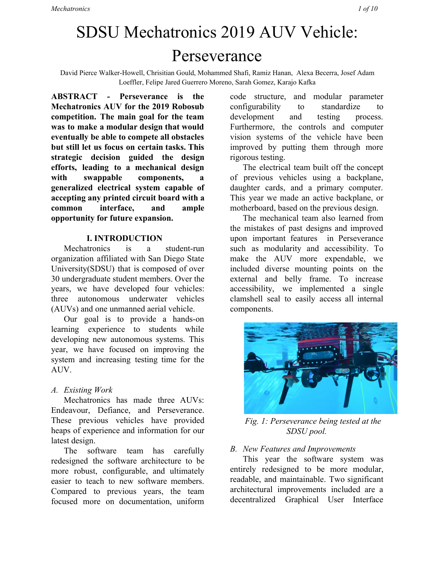| Gate: Style                                                | $+200$ (8x max)                         | 200              |  |
|------------------------------------------------------------|-----------------------------------------|------------------|--|
| Collect Pickup: Crucifix, Garlic                           | 400/object                              | $\boldsymbol{0}$ |  |
| Follow the "Path" (2 total)                                | 100/segment                             | 100              |  |
| Slay Vampires: Any, Called                                 | 300,600                                 | $\theta$         |  |
| Drop Garlic: Open, Closed                                  | 700, 1000 /<br>marker $(2 +$<br>pickup) | 700              |  |
| Drop Garlic: Move Arm                                      | 400                                     | $\theta$         |  |
| Stake through Heart: Open Oval, Cover Oval, Sm<br>Heart    | 800, 1000, 1200 /<br>torpedo $(max 2)$  | $\theta$         |  |
| Stake through Heart: Move lever                            | 400                                     | $\overline{0}$   |  |
| Stake through Heart: Bonus - Cover Oval, Sm Heart          | 500                                     | $\overline{0}$   |  |
| Expose to Sunlight: Surface in Area                        | 1000                                    | $\overline{0}$   |  |
| Expose to Sunlight: Surface with object                    | 400/object                              | $\theta$         |  |
| Expose to Sunlight: Open coffin                            | 400                                     | $\theta$         |  |
| <b>Expose to Sunlight: Drop Pickup</b>                     | 200/object<br>(crucifix only)           | $\overline{0}$   |  |
| Random Pinger first task                                   | 500                                     | $\theta$         |  |
| Random Pinger second task                                  | 1500                                    | $\overline{0}$   |  |
| Inter-vehicle Communication                                | 1000                                    | $\theta$         |  |
| Finish the mission with T minutes (whole $+$<br>factional) | Tx100                                   | $\theta$         |  |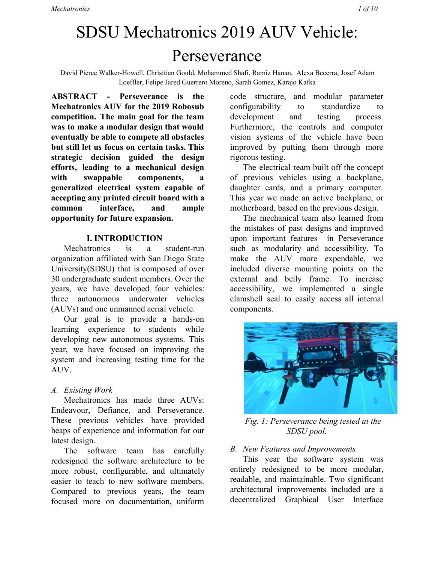## **Appendix B: Component Specifications**

| Component                      | <b>Vendor</b>        | Model/Type                                                 | <b>Specs</b>                  | Cost(if<br>New) |  |
|--------------------------------|----------------------|------------------------------------------------------------|-------------------------------|-----------------|--|
| <b>Buoyancy Control</b>        | <b>PVC Pods</b>      |                                                            |                               |                 |  |
| Frame                          |                      | Custom 6061 T6 anodized aluminum, 0.25" Thickness          |                               |                 |  |
| <b>Waterproof Housing</b>      |                      | Custom 6061 T6 anodized aluminum, 0.25" and 0.5" Thickness |                               |                 |  |
| <b>Waterproof Connectors</b>   | Seacon               | WET-CON                                                    |                               | \$300           |  |
| Thrusters                      | <b>Blue Robotics</b> | <b>T200</b>                                                |                               | \$169           |  |
| Motor Control                  | Hobby King           | Afro 30A<br>Race Spec                                      | 30 amp                        | \$13.69         |  |
| High Level Control             | <b>NVIDIA</b>        | Jetson Tegra<br>X2                                         |                               | \$599           |  |
| Actuators                      | None                 |                                                            |                               |                 |  |
| Propellers                     | <b>Blue Robotics</b> | <b>T200</b>                                                |                               | \$169           |  |
| <b>Battery</b>                 | <b>Hobby King</b>    | Lipo Battery                                               | 16000 mAh 4s<br>10c Multistar | \$101.37        |  |
| Converter                      | None                 |                                                            |                               |                 |  |
| Regulator                      | Mini-Box             | <b>DCDC-USB</b>                                            |                               | \$54.95         |  |
| <b>CPU</b>                     | <b>NVIDIA</b>        | Jetson Tegra<br>X2                                         |                               | \$599           |  |
| <b>Internal Comm Network</b>   | Custom               |                                                            |                               |                 |  |
| <b>External Comm Interface</b> | Seacon               | Seacon Cable                                               |                               | \$1000          |  |
| Programming Language 1         | Python               |                                                            |                               |                 |  |
| Programming Language 2         | $C++$                |                                                            |                               |                 |  |
| Compass                        | Sparton              | AHRS 6E                                                    |                               | \$1500          |  |